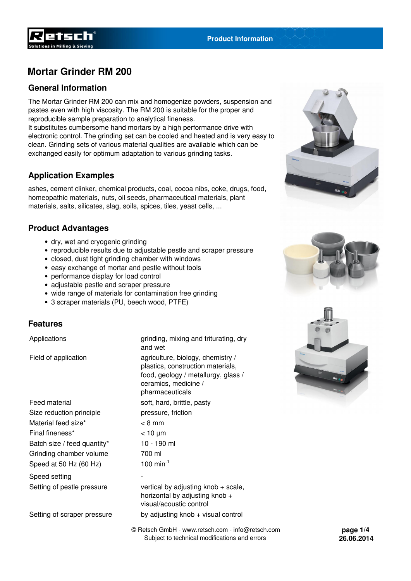

### **General Information**

The Mortar Grinder RM 200 can mix and homogenize powders, suspension and pastes even with high viscosity. The RM 200 is suitable for the proper and reproducible sample preparation to analytical fineness. It substitutes cumbersome hand mortars by a high performance drive with electronic control. The grinding set can be cooled and heated and is very easy to clean. Grinding sets of various material qualities are available which can be exchanged easily for optimum adaptation to various grinding tasks.

### **Application Examples**

ashes, cement clinker, chemical products, coal, cocoa nibs, coke, drugs, food, homeopathic materials, nuts, oil seeds, pharmaceutical materials, plant materials, salts, silicates, slag, soils, spices, tiles, yeast cells, ...

### **Product Advantages**

- dry, wet and cryogenic grinding
- reproducible results due to adjustable pestle and scraper pressure
- closed, dust tight grinding chamber with windows
- easy exchange of mortar and pestle without tools
- performance display for load control
- adjustable pestle and scraper pressure
- wide range of materials for contamination free grinding
- 3 scraper materials (PU, beech wood, PTFE)

#### **Features**

Feed material soft, hard, brittle, pasty Size reduction principle pressure, friction Material feed size\* < 8 mm Final fineness\* < 10 µm Batch size / feed quantity\* 10 - 190 ml Grinding chamber volume 700 ml Speed at 50 Hz  $(60$  Hz $)$  100 min<sup>-1</sup>

Speed setting

Setting of scraper pressure by adjusting knob + visual control

Applications and triturating and triturating, dry and wet Field of application agriculture, biology, chemistry / plastics, construction materials, food, geology / metallurgy, glass / ceramics, medicine / pharmaceuticals

Setting of pestle pressure vertical by adjusting knob + scale, horizontal by adjusting knob + visual/acoustic control

> © Retsch GmbH - www.retsch.com - info@retsch.com Subject to technical modifications and errors







**page 1/4 26.06.2014**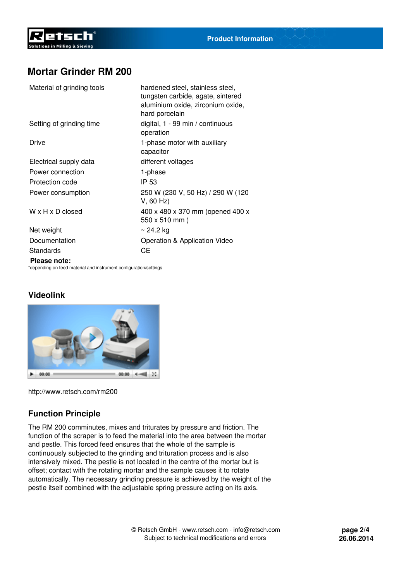| Material of grinding tools   | hardened steel, stainless steel,<br>tungsten carbide, agate, sintered<br>aluminium oxide, zirconium oxide,<br>hard porcelain |
|------------------------------|------------------------------------------------------------------------------------------------------------------------------|
| Setting of grinding time     | digital, 1 - 99 min / continuous<br>operation                                                                                |
| Drive                        | 1-phase motor with auxiliary<br>capacitor                                                                                    |
| Electrical supply data       | different voltages                                                                                                           |
| Power connection             | 1-phase                                                                                                                      |
| Protection code              | IP 53                                                                                                                        |
| Power consumption            | 250 W (230 V, 50 Hz) / 290 W (120<br>$V$ , 60 Hz)                                                                            |
| $W \times H \times D$ closed | 400 x 480 x 370 mm (opened 400 x<br>$550 \times 510 \text{ mm}$ )                                                            |
| Net weight                   | $\sim$ 24.2 kg                                                                                                               |
| Documentation                | Operation & Application Video                                                                                                |
| Standards                    | CЕ                                                                                                                           |
| Please note:                 |                                                                                                                              |

\*depending on feed material and instrument configuration/settings

## **Videolink**



<http://www.retsch.com/rm200>

## **Function Principle**

The RM 200 comminutes, mixes and triturates by pressure and friction. The function of the scraper is to feed the material into the area between the mortar and pestle. This forced feed ensures that the whole of the sample is continuously subjected to the grinding and trituration process and is also intensively mixed. The pestle is not located in the centre of the mortar but is offset; contact with the rotating mortar and the sample causes it to rotate automatically. The necessary grinding pressure is achieved by the weight of the pestle itself combined with the adjustable spring pressure acting on its axis.

**page 2/4 26.06.2014**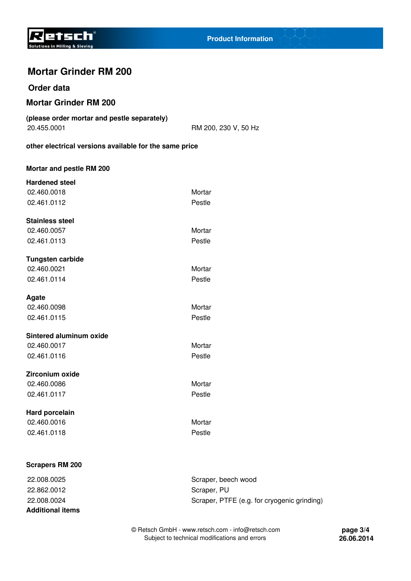

#### **Order data**

### **Mortar Grinder RM 200**

| (please order mortar and pestle separately) |  |
|---------------------------------------------|--|
| 20.455.0001                                 |  |

RM 200, 230 V, 50 Hz

**other electrical versions available for the same price**

| Mortar and pestle RM 200 |        |
|--------------------------|--------|
| <b>Hardened steel</b>    |        |
| 02.460.0018              | Mortar |
| 02.461.0112              | Pestle |
| <b>Stainless steel</b>   |        |
| 02.460.0057              | Mortar |
| 02.461.0113              | Pestle |
| <b>Tungsten carbide</b>  |        |
| 02.460.0021              | Mortar |
| 02.461.0114              | Pestle |
| Agate                    |        |
| 02.460.0098              | Mortar |
| 02.461.0115              | Pestle |
| Sintered aluminum oxide  |        |
| 02.460.0017              | Mortar |
| 02.461.0116              | Pestle |
| Zirconium oxide          |        |
| 02.460.0086              | Mortar |
| 02.461.0117              | Pestle |
| Hard porcelain           |        |
| 02.460.0016              | Mortar |
| 02.461.0118              | Pestle |
|                          |        |

#### **Scrapers RM 200**

22.862.0012 Scraper, PU **Additional items**

22.008.0025 Scraper, beech wood 22.008.0024 Scraper, PTFE (e.g. for cryogenic grinding)

> © Retsch GmbH - www.retsch.com - info@retsch.com Subject to technical modifications and errors

**page 3/4 26.06.2014**